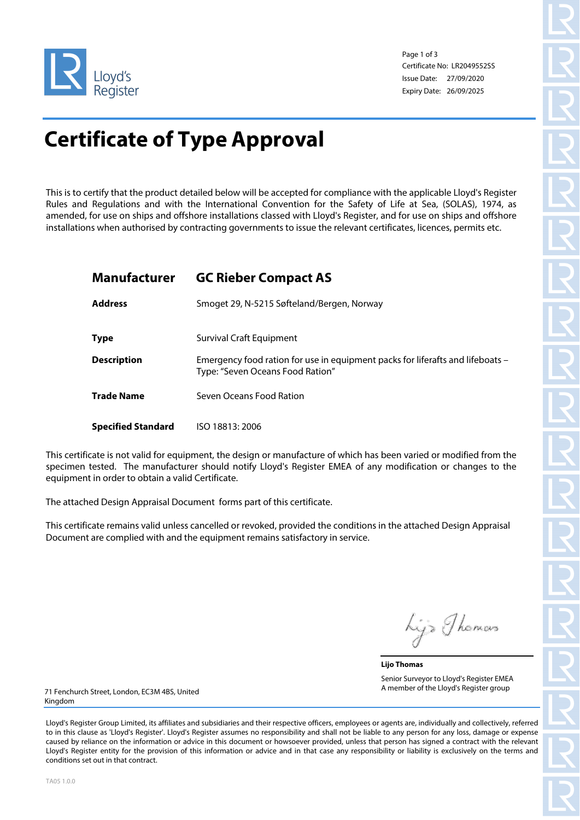

Page 1 of 3 Certificate No: LR2049552SS Issue Date: 27/09/2020 Expiry Date: 26/09/2025

# **Certificate of Type Approval**

This is to certify that the product detailed below will be accepted for compliance with the applicable Lloyd's Register Rules and Regulations and with the International Convention for the Safety of Life at Sea, (SOLAS), 1974, as amended, for use on ships and offshore installations classed with Lloyd's Register, and for use on ships and offshore installations when authorised by contracting governments to issue the relevant certificates, licences, permits etc.

# **Manufacturer GC Rieber Compact AS**

| <b>Address</b>            | Smoget 29, N-5215 Søfteland/Bergen, Norway                                                                         |
|---------------------------|--------------------------------------------------------------------------------------------------------------------|
| <b>Type</b>               | Survival Craft Equipment                                                                                           |
| <b>Description</b>        | Emergency food ration for use in equipment packs for liferafts and lifeboats -<br>Type: "Seven Oceans Food Ration" |
| <b>Trade Name</b>         | Seven Oceans Food Ration                                                                                           |
| <b>Specified Standard</b> | ISO 18813: 2006                                                                                                    |

This certificate is not valid for equipment, the design or manufacture of which has been varied or modified from the specimen tested. The manufacturer should notify Lloyd's Register EMEA of any modification or changes to the equipment in order to obtain a valid Certificate.

The attached Design Appraisal Document forms part of this certificate.

This certificate remains valid unless cancelled or revoked, provided the conditions in the attached Design Appraisal Document are complied with and the equipment remains satisfactory in service.

Lijs Thomas

**Lijo Thomas** Senior Surveyor to Lloyd's Register EMEA A member of the Lloyd's Register group

71 Fenchurch Street, London, EC3M 4BS, United Kingdom

Lloyd's Register Group Limited, its affiliates and subsidiaries and their respective officers, employees or agents are, individually and collectively, referred to in this clause as 'Lloyd's Register'. Lloyd's Register assumes no responsibility and shall not be liable to any person for any loss, damage or expense caused by reliance on the information or advice in this document or howsoever provided, unless that person has signed a contract with the relevant Lloyd's Register entity for the provision of this information or advice and in that case any responsibility or liability is exclusively on the terms and conditions set out in that contract.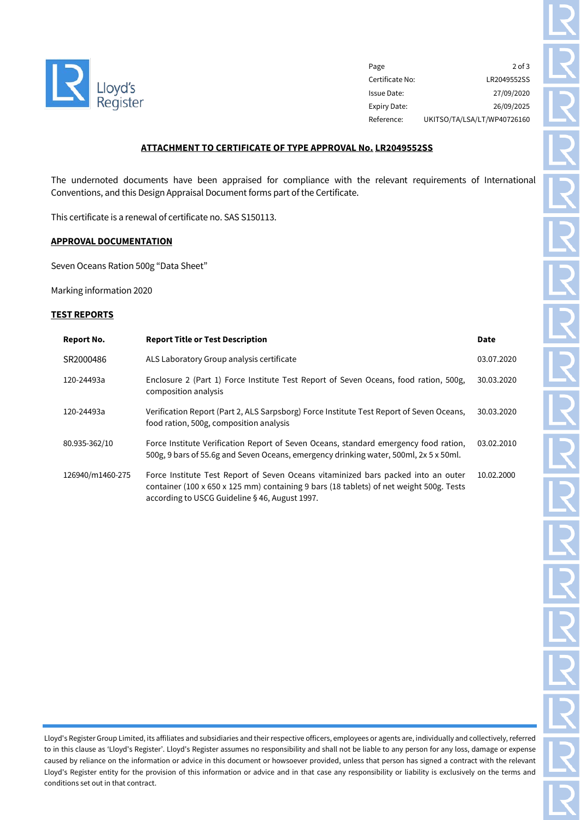

Page 2 of 3 Certificate No: LR2049552SS Issue Date: 27/09/2020 Expiry Date: 26/09/2025 Reference: UKITSO/TA/LSA/LT/WP40726160

### **ATTACHMENT TO CERTIFICATE OF TYPE APPROVAL No. LR2049552SS**

The undernoted documents have been appraised for compliance with the relevant requirements of International Conventions, and this Design Appraisal Document forms part of the Certificate.

This certificate is a renewal of certificate no. SAS S150113.

## **APPROVAL DOCUMENTATION**

Seven Oceans Ration 500g "Data Sheet"

Marking information 2020

#### **TEST REPORTS**

| Report No.       | <b>Report Title or Test Description</b>                                                                                                                                                                                        | <b>Date</b> |
|------------------|--------------------------------------------------------------------------------------------------------------------------------------------------------------------------------------------------------------------------------|-------------|
| SR2000486        | ALS Laboratory Group analysis certificate                                                                                                                                                                                      | 03.07.2020  |
| 120-24493a       | Enclosure 2 (Part 1) Force Institute Test Report of Seven Oceans, food ration, 500g,<br>composition analysis                                                                                                                   | 30.03.2020  |
| 120-24493a       | Verification Report (Part 2, ALS Sarpsborg) Force Institute Test Report of Seven Oceans,<br>food ration, 500g, composition analysis                                                                                            | 30.03.2020  |
| 80.935-362/10    | Force Institute Verification Report of Seven Oceans, standard emergency food ration,<br>500g, 9 bars of 55.6g and Seven Oceans, emergency drinking water, 500ml, 2x 5 x 50ml.                                                  | 03.02.2010  |
| 126940/m1460-275 | Force Institute Test Report of Seven Oceans vitaminized bars packed into an outer<br>container (100 x 650 x 125 mm) containing 9 bars (18 tablets) of net weight 500g. Tests<br>according to USCG Guideline § 46, August 1997. | 10.02.2000  |

Lloyd's Register Group Limited, its affiliates and subsidiaries and their respective officers, employees or agents are, individually and collectively, referred to in this clause as 'Lloyd's Register'. Lloyd's Register assumes no responsibility and shall not be liable to any person for any loss, damage or expense caused by reliance on the information or advice in this document or howsoever provided, unless that person has signed a contract with the relevant Lloyd's Register entity for the provision of this information or advice and in that case any responsibility or liability is exclusively on the terms and conditions set out in that contract.